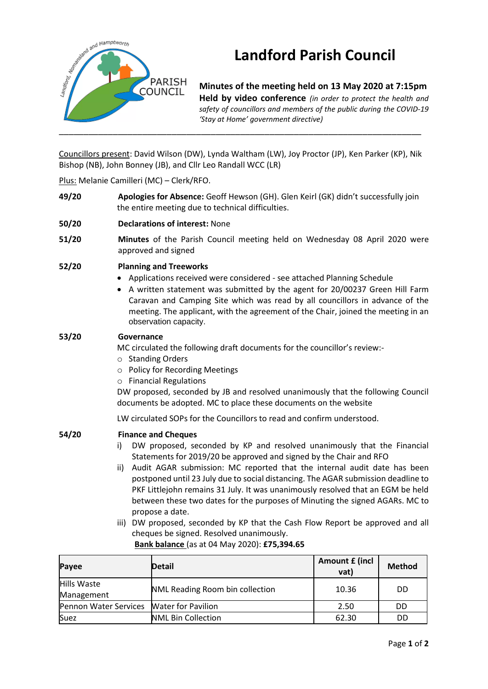

# **Landford Parish Council**

**Minutes of the meeting held on 13 May 2020 at 7:15pm Held by video conference** *(in order to protect the health and safety of councillors and members of the public during the COVID-19 'Stay at Home' government directive)* 

Councillors present: David Wilson (DW), Lynda Waltham (LW), Joy Proctor (JP), Ken Parker (KP), Nik Bishop (NB), John Bonney (JB), and Cllr Leo Randall WCC (LR)

## Plus: Melanie Camilleri (MC) – Clerk/RFO.

- **49/20 Apologies for Absence:** Geoff Hewson (GH). Glen Keirl (GK) didn't successfully join the entire meeting due to technical difficulties.
- **50/20 Declarations of interest:** None
- **51/20 Minutes** of the Parish Council meeting held on Wednesday 08 April 2020 were approved and signed
- **52/20 Planning and Treeworks**
	- Applications received were considered see attached Planning Schedule
	- A written statement was submitted by the agent for 20/00237 Green Hill Farm Caravan and Camping Site which was read by all councillors in advance of the meeting. The applicant, with the agreement of the Chair, joined the meeting in an observation capacity.

#### **53/20 Governance**

MC circulated the following draft documents for the councillor's review:-

- o Standing Orders
- o Policy for Recording Meetings
- o Financial Regulations

DW proposed, seconded by JB and resolved unanimously that the following Council documents be adopted. MC to place these documents on the website

LW circulated SOPs for the Councillors to read and confirm understood.

#### **54/20 Finance and Cheques**

- i) DW proposed, seconded by KP and resolved unanimously that the Financial Statements for 2019/20 be approved and signed by the Chair and RFO
- ii) Audit AGAR submission: MC reported that the internal audit date has been postponed until 23 July due to social distancing. The AGAR submission deadline to PKF Littlejohn remains 31 July. It was unanimously resolved that an EGM be held between these two dates for the purposes of Minuting the signed AGARs. MC to propose a date.
- iii) DW proposed, seconded by KP that the Cash Flow Report be approved and all cheques be signed. Resolved unanimously.

| Payee                     | <b>Detail</b>                   | Amount £ (incl<br>vat) | <b>Method</b> |
|---------------------------|---------------------------------|------------------------|---------------|
| Hills Waste<br>Management | NML Reading Room bin collection | 10.36                  | DD            |
| Pennon Water Services     | <b>Water for Pavilion</b>       | 2.50                   | DD            |
| Suez                      | <b>NML Bin Collection</b>       | 62.30                  | DD            |

# **Bank balance** (as at 04 May 2020): **£75,394.65**